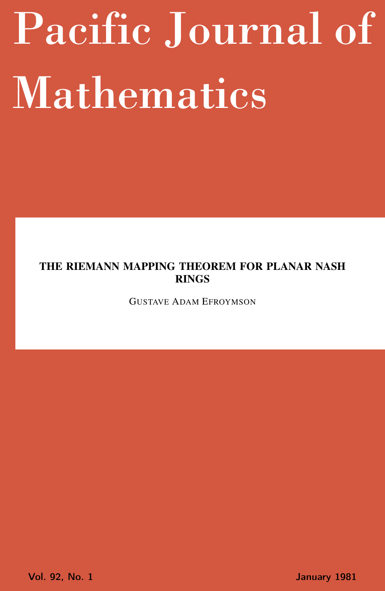# <span id="page-0-0"></span>Pacific Journal of Mathematics

# THE RIEMANN MAPPING THEOREM FOR PLANAR NASH RINGS

GUSTAVE ADAM EFROYMSON

Vol. 92, No. 1 January 1981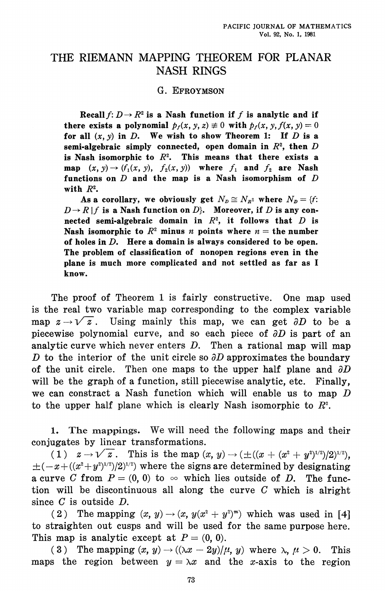# THE RIEMANN MAPPING THEOREM FOR PLANAR **NASH RINGS**

## G. EFROYMSON

Recall  $f: D \to R^2$  is a Nash function if f is analytic and if there exists a polynomial  $p_f(x, y, z) \neq 0$  with  $p_f(x, y, f(x, y) = 0$ for all  $(x, y)$  in D. We wish to show Theorem 1: If D is a semi-algebraic simply connected, open domain in  $R^2$ , then D is Nash isomorphic to  $R^2$ . This means that there exists a map  $(x, y) \rightarrow (f_1(x, y), f_2(x, y))$  where  $f_1$  and  $f_2$  are Nash functions on  $D$  and the map is a Nash isomorphism of  $D$ with  $R^2$ .

As a corollary, we obviously get  $N_p \cong N_{R^2}$  where  $N_p = \{f:$  $D \rightarrow R/f$  is a Nash function on  $D$ . Moreover, if D is any connected semi-algebraic domain in  $R^2$ , it follows that  $D$  is Nash isomorphic to  $R^2$  minus *n* points where  $n =$  the number of holes in  $D$ . Here a domain is always considered to be open. The problem of classification of nonopen regions even in the plane is much more complicated and not settled as far as I know.

The proof of Theorem 1 is fairly constructive. One map used is the real two variable map corresponding to the complex variable map  $z \rightarrow \sqrt{z}$ . Using mainly this map, we can get  $\partial D$  to be a piecewise polynomial curve, and so each piece of  $\partial D$  is part of an analytic curve which never enters  $D$ . Then a rational map will map D to the interior of the unit circle so  $\partial D$  approximates the boundary of the unit circle. Then one maps to the upper half plane and  $\partial D$ will be the graph of a function, still piecewise analytic, etc. Finally. we can constract a Nash function which will enable us to map  $D$ to the upper half plane which is clearly Nash isomorphic to  $R^2$ .

The mappings. We will need the following maps and their 1. conjugates by linear transformations.

(1)  $z \to \sqrt{z}$ . This is the map  $(x, y) \to (\pm ((x + (x^2 + y^2)^{1/2})/2)^{1/2})$ .  $\pm(-x+((x^2+y^2)^{1/2})^{1/2})$  where the signs are determined by designating a curve C from  $P = (0, 0)$  to  $\infty$  which lies outside of D. The function will be discontinuous all along the curve  $C$  which is alright since  $C$  is outside  $D$ .

(2) The mapping  $(x, y) \rightarrow (x, y(x^2 + y^2)^m)$  which was used in [4] to straighten out cusps and will be used for the same purpose here. This map is analytic except at  $P = (0, 0)$ .

 $(3)$ The mapping  $(x, y) \rightarrow ((\lambda x - 2y)/\mu, y)$  where  $\lambda, \mu > 0$ . This maps the region between  $y = \lambda x$  and the x-axis to the region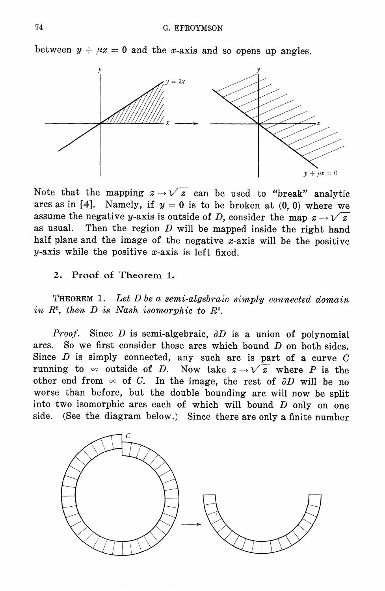between  $y + \mu x = 0$  and the x-axis and so opens up angles.



Note that the mapping  $z \rightarrow \sqrt{z}$  can be used to "break" analytic arcs as in [4]. Namely, if  $y = 0$  is to be broken at (0,0) where we assume the negative y-axis is outside of D, consider the map  $z \rightarrow \sqrt{z}$ as usual. Then the region  $D$  will be mapped inside the right hand half plane and the image of the negative  $x$ -axis will be the positive y-axis while the positive x-axis is left fixed.

 $2.$ Proof of Theorem 1.

THEOREM 1. Let D be a semi-algebraic simply connected domain in  $R^2$ , then D is Nash isomorphic to  $R^2$ .

*Proof.* Since D is semi-algebraic,  $\partial D$  is a union of polynomial arcs. So we first consider those arcs which bound  $D$  on both sides. Since  $D$  is simply connected, any such arc is part of a curve  $C$ running to  $\infty$  outside of D. Now take  $z \rightarrow \sqrt{z}$  where P is the other end from  $\infty$  of C. In the image, the rest of  $\partial D$  will be no worse than before, but the double bounding arc will now be split into two isomorphic arcs each of which will bound  $D$  only on one side. (See the diagram below.) Since there are only a finite number

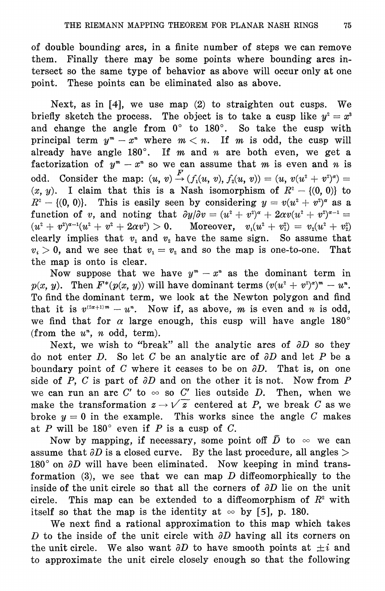of double bounding arcs, in a finite number of steps we can remove Finally there may be some points where bounding arcs inthem. tersect so the same type of behavior as above will occur only at one point. These points can be eliminated also as above.

Next, as in  $[4]$ , we use map  $(2)$  to straighten out cusps. We briefly sketch the process. The object is to take a cusp like  $y^2 = x^3$ and change the angle from  $0^{\circ}$  to  $180^{\circ}$ . So take the cusp with principal term  $y^m - x^m$  where  $m < n$ . If m is odd, the cusp will already have angle  $180^\circ$ . If m and n are both even, we get a factorization of  $y^m - x^n$  so we can assume that m is even and n is odd. Consider the map:  $(u, v) \stackrel{F}{\rightarrow} (f_1(u, v), f_2(u, v)) = (u, v(u^2 + v^2)^{\alpha}) =$  $(x, y)$ . I claim that this is a Nash isomorphism of  $R^2 - \{(0, 0)\}$  to  $R^2 - \{(0, 0)\}\$ . This is easily seen by considering  $y = v(u^2 + v^2)^{\alpha}$  as a function of v, and noting that  $\partial y/\partial v = (u^2 + v^2)^{\alpha} + 2\alpha v(u^2 + v^2)^{\alpha-1} =$  $(u^{2} + v^{2})^{\alpha-1}(u^{2} + v^{2} + 2\alpha v^{2}) > 0$ . Moreover,  $v_{1}(u^{2} + v_{1}^{2}) = v_{2}(u^{2} + v_{2}^{2})$ clearly implies that  $v_1$  and  $v_2$  have the same sign. So assume that  $v_i > 0$ , and we see that  $v_1 = v_2$  and so the map is one-to-one. That the map is onto is clear.

Now suppose that we have  $y^m - x^n$  as the dominant term in  $p(x, y)$ . Then  $F^*(p(x, y))$  will have dominant terms  $(v(u^2 + v^2)^{\alpha})^m - u^{\alpha}$ . To find the dominant term, we look at the Newton polygon and find that it is  $v^{(2\alpha+1)m} - u^n$ . Now if, as above, m is even and n is odd, we find that for  $\alpha$  large enough, this cusp will have angle 180° (from the  $u^*$ , n odd, term).

Next, we wish to "break" all the analytic arcs of  $\partial D$  so they do not enter D. So let C be an analytic arc of  $\partial D$  and let P be a boundary point of C where it ceases to be on  $\partial D$ . That is, on one side of P, C is part of  $\partial D$  and on the other it is not. Now from P we can run an arc C' to  $\infty$  so C' lies outside D. Then, when we make the transformation  $z \rightarrow \sqrt{z}$  centered at P, we break C as we broke  $y = 0$  in the example. This works since the angle C makes at P will be 180 $^{\circ}$  even if P is a cusp of C.

Now by mapping, if necessary, some point off  $\bar{D}$  to  $\infty$  we can assume that  $\partial D$  is a closed curve. By the last procedure, all angles  $>$ 180 $^{\circ}$  on  $\partial D$  will have been eliminated. Now keeping in mind transformation  $(3)$ , we see that we can map D diffeomorphically to the inside of the unit circle so that all the corners of  $\partial D$  lie on the unit This map can be extended to a diffeomorphism of  $R<sup>2</sup>$  with circle. itself so that the map is the identity at  $\infty$  by [5], p. 180.

We next find a rational approximation to this map which takes D to the inside of the unit circle with  $\partial D$  having all its corners on the unit circle. We also want  $\partial D$  to have smooth points at  $\pm i$  and to approximate the unit circle closely enough so that the following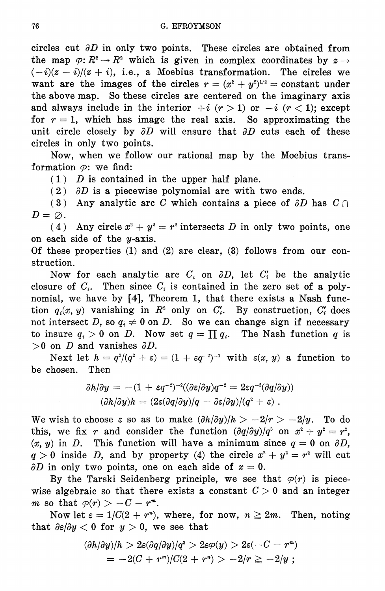circles cut  $\partial D$  in only two points. These circles are obtained from the map  $\varphi: R^2 \to R^2$  which is given in complex coordinates by  $z \to$  $(-i)(z - i)/(z + i)$ , i.e., a Moebius transformation. The circles we want are the images of the circles  $r = (x^2 + y^2)^{1/2} = constant$  under the above map. So these circles are centered on the imaginary axis and always include in the interior  $+i$   $(r > 1)$  or  $-i$   $(r < 1)$ ; except for  $r = 1$ , which has image the real axis. So approximating the unit circle closely by  $\partial D$  will ensure that  $\partial D$  cuts each of these circles in only two points.

Now, when we follow our rational map by the Moebius transformation  $\varphi$ : we find:

 $(1)$  D is contained in the upper half plane.

 $(2)$   $\partial D$  is a piecewise polynomial arc with two ends.

(3) Any analytic arc C which contains a piece of  $\partial D$  has  $C \cap$  $D=\varnothing$ .

(4) Any circle  $x^2 + y^2 = r^2$  intersects D in only two points, one on each side of the  $y$ -axis.

Of these properties  $(1)$  and  $(2)$  are clear,  $(3)$  follows from our construction.

Now for each analytic arc  $C_i$  on  $\partial D$ , let  $C'_i$  be the analytic closure of  $C_i$ . Then since  $C_i$  is contained in the zero set of a polynomial, we have by [4], Theorem 1, that there exists a Nash function  $q_i(x, y)$  vanishing in  $R^2$  only on  $C_i'$ . By construction,  $C_i'$  does not intersect D, so  $q_i \neq 0$  on D. So we can change sign if necessary to insure  $q_i > 0$  on D. Now set  $q = \prod q_i$ . The Nash function q is  $>0$  on D and vanishes  $\partial D$ .

Next let  $h = q^2/(q^2 + \varepsilon) = (1 + \varepsilon q^{-2})^{-1}$  with  $\varepsilon(x, y)$  a function to be chosen. Then

$$
\begin{aligned} \partial h/\partial y &= -(1+\varepsilon q^{-2})^{-2}((\partial \varepsilon/\partial y)q^{-2} = 2\varepsilon q^{-3}(\partial q/\partial y)) \\ (\partial h/\partial y)h &= (2\varepsilon(\partial q/\partial y)/q \, - \, \partial \varepsilon/\partial y)/ (q^2 + \varepsilon) \ . \end{aligned}
$$

We wish to choose  $\varepsilon$  so as to make  $(\partial h/\partial y)/h > -2/r > -2/y$ . To do this, we fix r and consider the function  $(\partial q/\partial y)/q^3$  on  $x^2 + y^2 = r^2$ ,  $(x, y)$  in D. This function will have a minimum since  $q = 0$  on  $\partial D$ .  $q > 0$  inside D, and by property (4) the circle  $x^2 + y^2 = r^2$  will cut  $\partial D$  in only two points, one on each side of  $x=0$ .

By the Tarski Seidenberg principle, we see that  $\varphi(r)$  is piecewise algebraic so that there exists a constant  $C > 0$  and an integer m so that  $\varphi(r) > -C - r^m$ .

Now let  $\varepsilon = 1/C(2 + r^n)$ , where, for now,  $n \ge 2m$ . Then, noting that  $\partial \varepsilon / \partial y < 0$  for  $y > 0$ , we see that

$$
\begin{aligned} (\partial h/\partial y)/h &> 2\varepsilon(\partial q/\partial y)/q^3 &> 2\varepsilon\varphi(y) &> 2\varepsilon(-C - r^m) \\ &= -2(C + r^m)/C(2 + r^n) &> -2/r \ge -2/y \end{aligned}
$$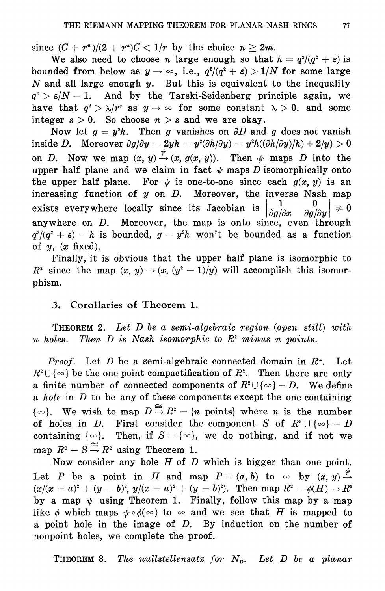since  $(C + r<sup>m</sup>)/(2 + r<sup>n</sup>)C < 1/r$  by the choice  $n \ge 2m$ .

We also need to choose *n* large enough so that  $h = q^2/(q^2 + \varepsilon)$  is bounded from below as  $y \to \infty$ , i.e.,  $q^2/(q^2 + \varepsilon) > 1/N$  for some large N and all large enough  $y$ . But this is equivalent to the inequality  $q^2 > \varepsilon/N - 1$ . And by the Tarski-Seidenberg principle again, we have that  $q^2 > \lambda/r^2$  as  $y \to \infty$  for some constant  $\lambda > 0$ , and some integer  $s > 0$ . So choose  $n > s$  and we are okay.

Now let  $g = y^2 h$ . Then g vanishes on  $\partial D$  and g does not vanish inside D. Moreover  $\partial g/\partial y = 2yh = y^2(\partial h/\partial y) = y^2h((\partial h/\partial y)/h) + 2/y) > 0$ on D. Now we map  $(x, y) \stackrel{\psi}{\rightarrow} (x, g(x, y))$ . Then  $\psi$  maps D into the upper half plane and we claim in fact  $\psi$  maps D isomorphically onto the upper half plane. For  $\psi$  is one-to-one since each  $g(x, y)$  is an increasing function of  $y$  on  $D$ . Moreover, the inverse Nash map exists everywhere locally since its Jacobian is  $\neq 0$  $\partial g/\partial x$  $\partial g/\partial y$ anywhere on  $D$ . Moreover, the map is onto since, even through  $q^2/(q^2 + \varepsilon) = h$  is bounded,  $g = y^2h$  won't be bounded as a function of  $y$ ,  $(x \text{ fixed})$ .

Finally, it is obvious that the upper half plane is isomorphic to  $R^2$  since the map  $(x, y) \rightarrow (x, (y^2 - 1)/y)$  will accomplish this isomorphism.

## 3. Corollaries of Theorem 1.

**THEOREM 2.** Let D be a semi-algebraic region (open still) with *n* holes. Then *D* is Nash isomorphic to  $R^2$  minus *n* points.

*Proof.* Let  $D$  be a semi-algebraic connected domain in  $R<sup>n</sup>$ . Let  $R^2 \cup \{ \infty \}$  be the one point compactification of  $R^2$ . Then there are only a finite number of connected components of  $R^2 \cup \{ \infty \} - D$ . We define a hole in  $D$  to be any of these components except the one containing  $\{\infty\}$ . We wish to map  $D \stackrel{\cong}{\rightarrow} R^2 - \{n \text{ points}\}\$  where *n* is the number of holes in D. First consider the component S of  $R^2 \cup \{ \infty \} - D$ containing  $\{\infty\}$ . Then, if  $S = \{\infty\}$ , we do nothing, and if not we map  $R^2 - S \stackrel{\cong}{\rightarrow} R^2$  using Theorem 1.

Now consider any hole  $H$  of  $D$  which is bigger than one point. Let P be a point in H and map  $P = (a, b)$  to  $\infty$  by  $(x, y) \stackrel{\varphi}{\rightarrow}$  $(x/(x-a)^2 + (y-b)^2, y/(x-a)^2 + (y-b)^2)$ . Then map  $R^2 - \phi(H) \to R^2$ by a map  $\psi$  using Theorem 1. Finally, follow this map by a map like  $\phi$  which maps  $\psi \circ \phi(\infty)$  to  $\infty$  and we see that H is mapped to a point hole in the image of  $D$ . By induction on the number of nonpoint holes, we complete the proof.

The nullstellensatz for  $N_p$ . Let D be a planar THEOREM 3.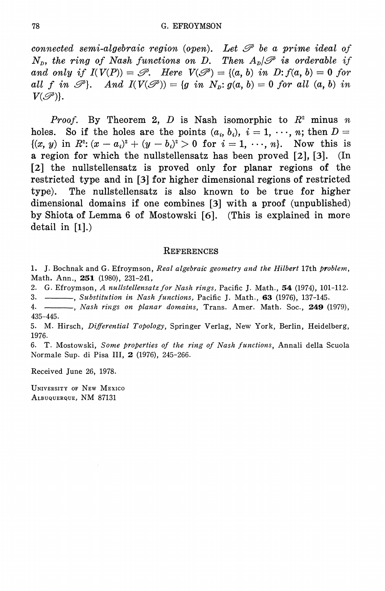connected semi-algebraic region (open). Let  $\mathscr P$  be a prime ideal of  $N_p$ , the ring of Nash functions on D. Then  $A_n/\mathscr{P}$  is orderable if and only if  $I(V(P)) = \mathcal{P}$ . Here  $V(\mathcal{P}) = \{(a, b) \text{ in } D: f(a, b) = 0 \text{ for }$ all f in  $\mathcal{P}$ . And  $I(V(\mathcal{P})) = \{g \text{ in } N_p : g(a, b) = 0 \text{ for all } (a, b) \text{ in }$  $V(\mathscr{P})$ .

*Proof.* By Theorem 2, D is Nash isomorphic to  $R^2$  minus n holes. So if the holes are the points  $(a_i, b_i)$ ,  $i = 1, \dots, n$ ; then  $D =$  $\{(x, y) \text{ in } R^2 : (x - a_i)^2 + (y - b_i)^2 > 0 \text{ for } i = 1, \dots, n\}.$  Now this is a region for which the nullstellensatz has been proved  $[2]$ ,  $[3]$ .  $(In$ [2] the nullstellensatz is proved only for planar regions of the restricted type and in [3] for higher dimensional regions of restricted The nullstellensatz is also known to be true for higher type). dimensional domains if one combines [3] with a proof (unpublished) by Shiota of Lemma 6 of Mostowski [6]. (This is explained in more detail in  $[1]$ .)

#### **REFERENCES**

1. J. Bochnak and G. Efroymson, Real algebraic geometry and the Hilbert 17th problem, Math. Ann., 251 (1980), 231-241,

2. G. Efroymson, A nullstellensatz for Nash rings, Pacific J. Math., 54 (1974), 101-112.

3.  $\frac{1}{2}$ , Substitution in Nash functions, Pacific J. Math., 63 (1976), 137-145.

4. - Nash rings on planar domains, Trans. Amer. Math. Soc., 249 (1979),  $435 - 445.$ 

5. M. Hirsch, Differential Topology, Springer Verlag, New York, Berlin, Heidelberg, 1976.

6. T. Mostowski, Some properties of the ring of Nash functions, Annali della Scuola Normale Sup. di Pisa III, 2 (1976), 245-266.

Received June 26, 1978.

UNIVERSITY OF NEW MEXICO ALBUQUERQUE, NM 87131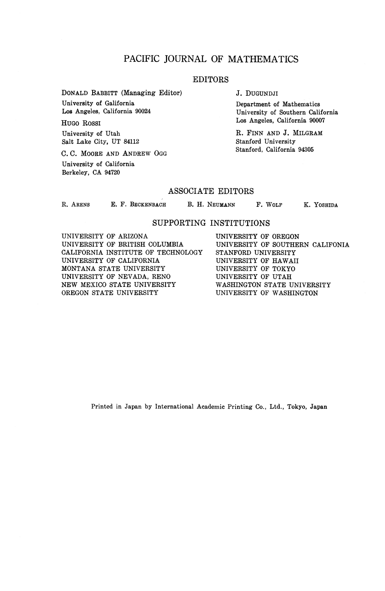## PACIFIC JOURNAL OF MATHEMATICS

### EDITORS

DONALD BABBITT (Managing Editor) University of Galifornia

Los Angeles, California 90024 HUGO ROSSI

University of Utah Salt Lake City, UT 84112

C. C. MOORE AND ANDREW OGG University of California Berkeley, CA 94720

J. DUGUNDJI

Department of Mathematics University of Southern California Los Angeles, California 90007

R. FINN AND J. MILGRAM Stanford University Stanford, California 94305

#### ASSOCIATE EDITORS

R. ARENS E. F. BECKENBACH B. H. NEUMANN F. WOLF K. YOSHIDA

#### SUPPORTING INSTITUTIONS

UNIVERSITY OF ARIZONA UNIVERSITY OF BRITISH COLUMBIA CALIFORNIA INSTITUTE OF TECHNOLOGY UNIVERSITY OF CALIFORNIA MONTANA STATE UNIVERSITY UNIVERSITY OF NEVADA, RENO NEW MEXICO STATE UNIVERSITY OREGON STATE UNIVERSITY

UNIVERSITY OF OREGON UNIVERSITY OF SOUTHERN CALIFONIA STANFORD UNIVERSITY UNIVERSITY OF HAWAII UNIVERSITY OF TOKYO UNIVERSITY OF UTAH WASHINGTON STATE UNIVERSITY UNIVERSITY OF WASHINGTON

Printed in Japan by International Academic Printing Co., Ltd., Tokyo, Japan